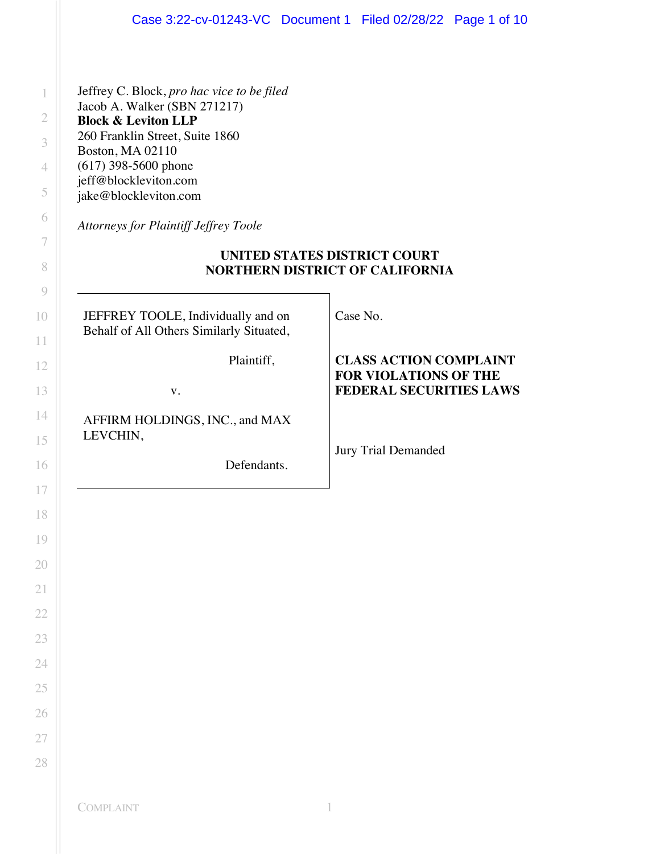Jeffrey C. Block, *pro hac vice to be filed* Jacob A. Walker (SBN 271217) **Block & Leviton LLP** 260 Franklin Street, Suite 1860 Boston, MA 02110 (617) 398-5600 phone jeff@blockleviton.com jake@blockleviton.com

*Attorneys for Plaintiff Jeffrey Toole*

# **UNITED STATES DISTRICT COURT NORTHERN DISTRICT OF CALIFORNIA**

Case No.

JEFFREY TOOLE, Individually and on Behalf of All Others Similarly Situated,

Plaintiff,

v.

AFFIRM HOLDINGS, INC., and MAX LEVCHIN,

Defendants.

**CLASS ACTION COMPLAINT FOR VIOLATIONS OF THE FEDERAL SECURITIES LAWS**

Jury Trial Demanded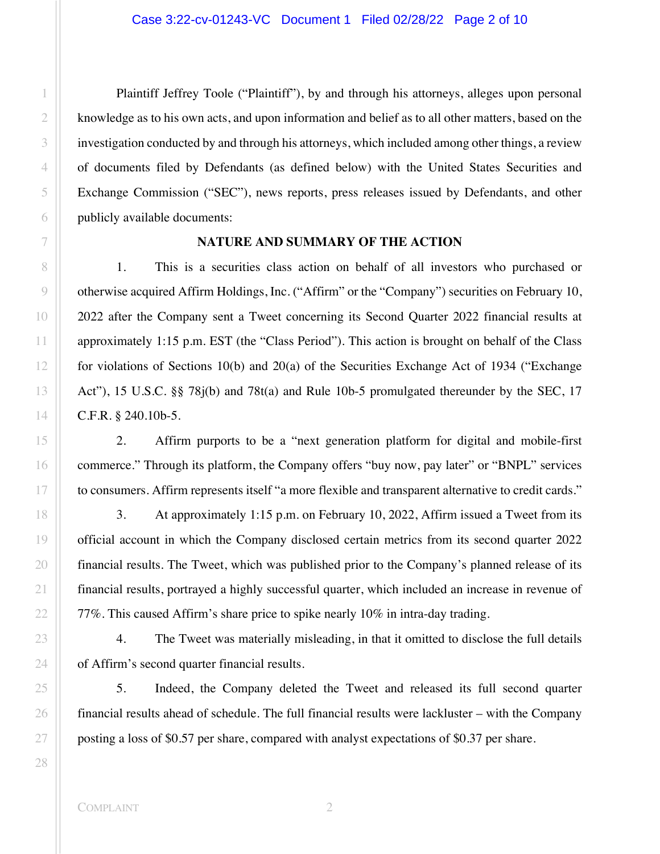Plaintiff Jeffrey Toole ("Plaintiff"), by and through his attorneys, alleges upon personal knowledge as to his own acts, and upon information and belief as to all other matters, based on the investigation conducted by and through his attorneys, which included among other things, a review of documents filed by Defendants (as defined below) with the United States Securities and Exchange Commission ("SEC"), news reports, press releases issued by Defendants, and other publicly available documents:

### **NATURE AND SUMMARY OF THE ACTION**

1. This is a securities class action on behalf of all investors who purchased or otherwise acquired Affirm Holdings, Inc. ("Affirm" or the "Company") securities on February 10, 2022 after the Company sent a Tweet concerning its Second Quarter 2022 financial results at approximately 1:15 p.m. EST (the "Class Period"). This action is brought on behalf of the Class for violations of Sections 10(b) and 20(a) of the Securities Exchange Act of 1934 ("Exchange Act"), 15 U.S.C. §§ 78j(b) and 78t(a) and Rule 10b-5 promulgated thereunder by the SEC, 17 C.F.R. § 240.10b-5.

2. Affirm purports to be a "next generation platform for digital and mobile-first commerce." Through its platform, the Company offers "buy now, pay later" or "BNPL" services to consumers. Affirm represents itself "a more flexible and transparent alternative to credit cards."

3. At approximately 1:15 p.m. on February 10, 2022, Affirm issued a Tweet from its official account in which the Company disclosed certain metrics from its second quarter 2022 financial results. The Tweet, which was published prior to the Company's planned release of its financial results, portrayed a highly successful quarter, which included an increase in revenue of 77%. This caused Affirm's share price to spike nearly 10% in intra-day trading.

4. The Tweet was materially misleading, in that it omitted to disclose the full details of Affirm's second quarter financial results.

5. Indeed, the Company deleted the Tweet and released its full second quarter financial results ahead of schedule. The full financial results were lackluster – with the Company posting a loss of \$0.57 per share, compared with analyst expectations of \$0.37 per share.

1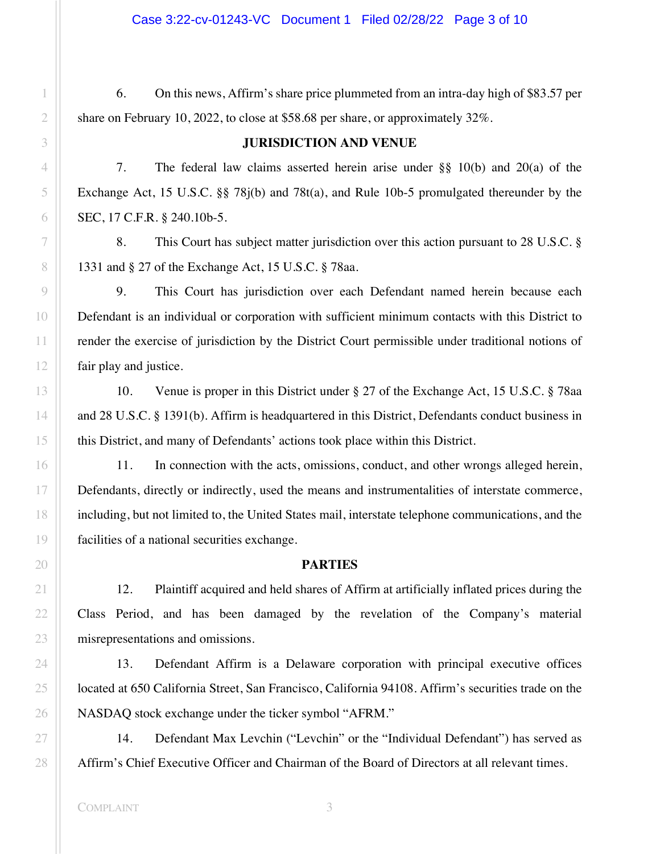Case 3:22-cv-01243-VC Document 1 Filed 02/28/22 Page 3 of 10

6. On this news, Affirm's share price plummeted from an intra-day high of \$83.57 per share on February 10, 2022, to close at \$58.68 per share, or approximately 32%.

## **JURISDICTION AND VENUE**

7. The federal law claims asserted herein arise under §§ 10(b) and 20(a) of the Exchange Act, 15 U.S.C. §§ 78j(b) and 78t(a), and Rule 10b-5 promulgated thereunder by the SEC, 17 C.F.R. § 240.10b-5.

8. This Court has subject matter jurisdiction over this action pursuant to 28 U.S.C. § 1331 and § 27 of the Exchange Act, 15 U.S.C. § 78aa.

9. This Court has jurisdiction over each Defendant named herein because each Defendant is an individual or corporation with sufficient minimum contacts with this District to render the exercise of jurisdiction by the District Court permissible under traditional notions of fair play and justice.

10. Venue is proper in this District under § 27 of the Exchange Act, 15 U.S.C. § 78aa and 28 U.S.C. § 1391(b). Affirm is headquartered in this District, Defendants conduct business in this District, and many of Defendants' actions took place within this District.

11. In connection with the acts, omissions, conduct, and other wrongs alleged herein, Defendants, directly or indirectly, used the means and instrumentalities of interstate commerce, including, but not limited to, the United States mail, interstate telephone communications, and the facilities of a national securities exchange.

## **PARTIES**

12. Plaintiff acquired and held shares of Affirm at artificially inflated prices during the Class Period, and has been damaged by the revelation of the Company's material misrepresentations and omissions.

13. Defendant Affirm is a Delaware corporation with principal executive offices located at 650 California Street, San Francisco, California 94108. Affirm's securities trade on the NASDAQ stock exchange under the ticker symbol "AFRM."

14. Defendant Max Levchin ("Levchin" or the "Individual Defendant") has served as Affirm's Chief Executive Officer and Chairman of the Board of Directors at all relevant times.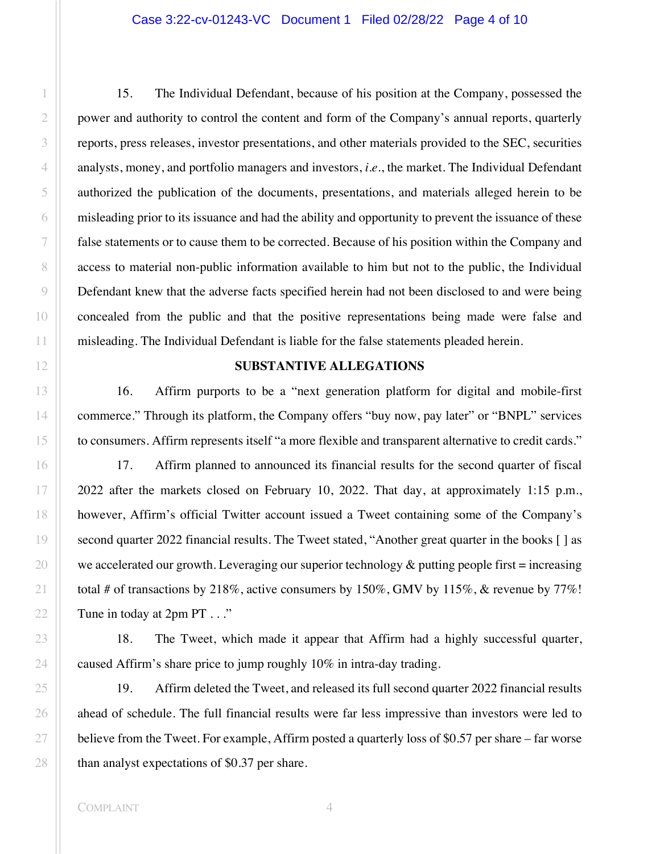15. The Individual Defendant, because of his position at the Company, possessed the power and authority to control the content and form of the Company's annual reports, quarterly reports, press releases, investor presentations, and other materials provided to the SEC, securities analysts, money, and portfolio managers and investors, *i.e.*, the market. The Individual Defendant authorized the publication of the documents, presentations, and materials alleged herein to be misleading prior to its issuance and had the ability and opportunity to prevent the issuance of these false statements or to cause them to be corrected. Because of his position within the Company and access to material non-public information available to him but not to the public, the Individual Defendant knew that the adverse facts specified herein had not been disclosed to and were being concealed from the public and that the positive representations being made were false and misleading. The Individual Defendant is liable for the false statements pleaded herein.

#### **SUBSTANTIVE ALLEGATIONS**

16. Affirm purports to be a "next generation platform for digital and mobile-first commerce." Through its platform, the Company offers "buy now, pay later" or "BNPL" services to consumers. Affirm represents itself "a more flexible and transparent alternative to credit cards."

17. Affirm planned to announced its financial results for the second quarter of fiscal 2022 after the markets closed on February 10, 2022. That day, at approximately 1:15 p.m., however, Affirm's official Twitter account issued a Tweet containing some of the Company's second quarter 2022 financial results. The Tweet stated, "Another great quarter in the books [] as we accelerated our growth. Leveraging our superior technology  $\&$  putting people first = increasing total # of transactions by 218%, active consumers by 150%, GMV by 115%, & revenue by 77%! Tune in today at 2pm PT . . ."

18. The Tweet, which made it appear that Affirm had a highly successful quarter, caused Affirm's share price to jump roughly 10% in intra-day trading.

19. Affirm deleted the Tweet, and released its full second quarter 2022 financial results ahead of schedule. The full financial results were far less impressive than investors were led to believe from the Tweet. For example, Affirm posted a quarterly loss of \$0.57 per share – far worse than analyst expectations of \$0.37 per share.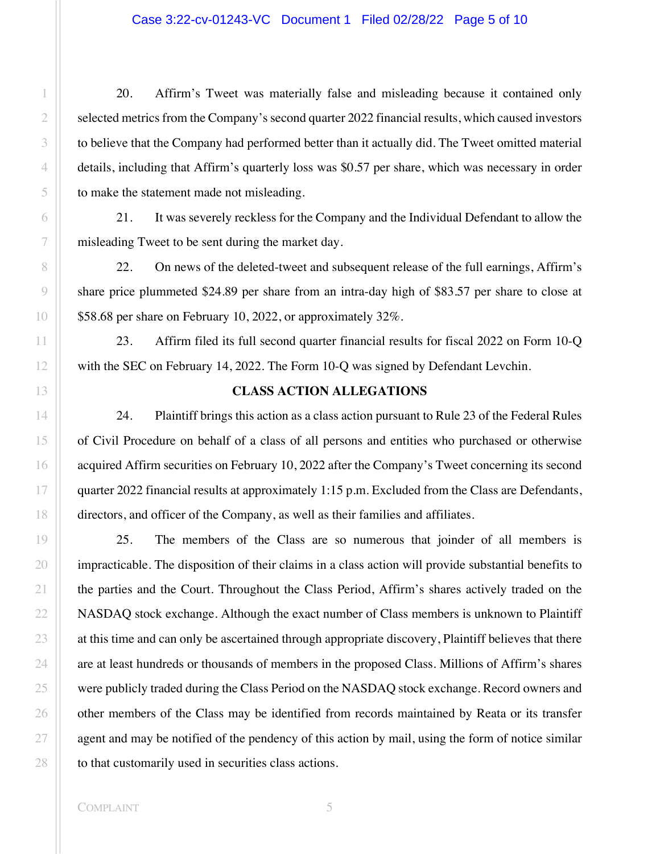20. Affirm's Tweet was materially false and misleading because it contained only selected metrics from the Company's second quarter 2022 financial results, which caused investors to believe that the Company had performed better than it actually did. The Tweet omitted material details, including that Affirm's quarterly loss was \$0.57 per share, which was necessary in order to make the statement made not misleading.

21. It was severely reckless for the Company and the Individual Defendant to allow the misleading Tweet to be sent during the market day.

22. On news of the deleted-tweet and subsequent release of the full earnings, Affirm's share price plummeted \$24.89 per share from an intra-day high of \$83.57 per share to close at \$58.68 per share on February 10, 2022, or approximately 32%.

23. Affirm filed its full second quarter financial results for fiscal 2022 on Form 10-Q with the SEC on February 14, 2022. The Form 10-Q was signed by Defendant Levchin.

## **CLASS ACTION ALLEGATIONS**

24. Plaintiff brings this action as a class action pursuant to Rule 23 of the Federal Rules of Civil Procedure on behalf of a class of all persons and entities who purchased or otherwise acquired Affirm securities on February 10, 2022 after the Company's Tweet concerning its second quarter 2022 financial results at approximately 1:15 p.m. Excluded from the Class are Defendants, directors, and officer of the Company, as well as their families and affiliates.

25. The members of the Class are so numerous that joinder of all members is impracticable. The disposition of their claims in a class action will provide substantial benefits to the parties and the Court. Throughout the Class Period, Affirm's shares actively traded on the NASDAQ stock exchange. Although the exact number of Class members is unknown to Plaintiff at this time and can only be ascertained through appropriate discovery, Plaintiff believes that there are at least hundreds or thousands of members in the proposed Class. Millions of Affirm's shares were publicly traded during the Class Period on the NASDAQ stock exchange. Record owners and other members of the Class may be identified from records maintained by Reata or its transfer agent and may be notified of the pendency of this action by mail, using the form of notice similar to that customarily used in securities class actions.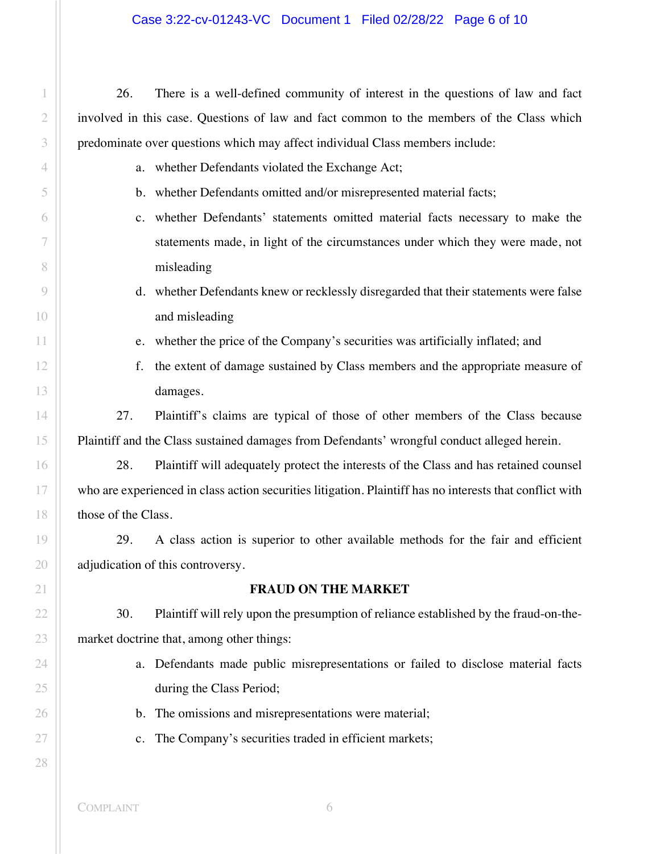26. There is a well-defined community of interest in the questions of law and fact involved in this case. Questions of law and fact common to the members of the Class which predominate over questions which may affect individual Class members include:

- a. whether Defendants violated the Exchange Act;
- b. whether Defendants omitted and/or misrepresented material facts;
- c. whether Defendants' statements omitted material facts necessary to make the statements made, in light of the circumstances under which they were made, not misleading
- d. whether Defendants knew or recklessly disregarded that their statements were false and misleading
- e. whether the price of the Company's securities was artificially inflated; and
- f. the extent of damage sustained by Class members and the appropriate measure of damages.

27. Plaintiff's claims are typical of those of other members of the Class because Plaintiff and the Class sustained damages from Defendants' wrongful conduct alleged herein.

28. Plaintiff will adequately protect the interests of the Class and has retained counsel who are experienced in class action securities litigation. Plaintiff has no interests that conflict with those of the Class.

29. A class action is superior to other available methods for the fair and efficient adjudication of this controversy.

## **FRAUD ON THE MARKET**

30. Plaintiff will rely upon the presumption of reliance established by the fraud-on-themarket doctrine that, among other things:

- a. Defendants made public misrepresentations or failed to disclose material facts during the Class Period;
- b. The omissions and misrepresentations were material;
- c. The Company's securities traded in efficient markets;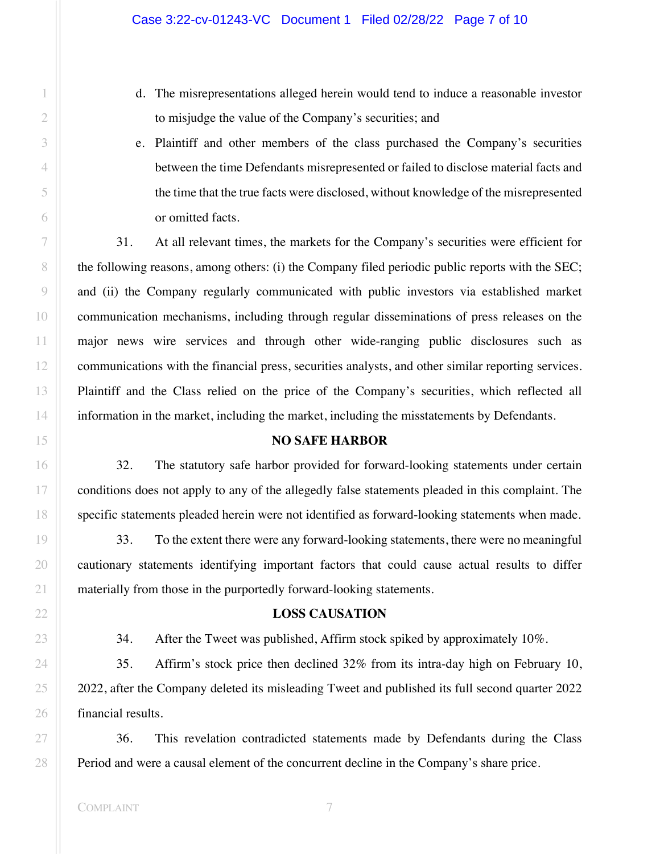- d. The misrepresentations alleged herein would tend to induce a reasonable investor to misjudge the value of the Company's securities; and
- e. Plaintiff and other members of the class purchased the Company's securities between the time Defendants misrepresented or failed to disclose material facts and the time that the true facts were disclosed, without knowledge of the misrepresented or omitted facts.

31. At all relevant times, the markets for the Company's securities were efficient for the following reasons, among others: (i) the Company filed periodic public reports with the SEC; and (ii) the Company regularly communicated with public investors via established market communication mechanisms, including through regular disseminations of press releases on the major news wire services and through other wide-ranging public disclosures such as communications with the financial press, securities analysts, and other similar reporting services. Plaintiff and the Class relied on the price of the Company's securities, which reflected all information in the market, including the market, including the misstatements by Defendants.

## **NO SAFE HARBOR**

32. The statutory safe harbor provided for forward-looking statements under certain conditions does not apply to any of the allegedly false statements pleaded in this complaint. The specific statements pleaded herein were not identified as forward-looking statements when made.

33. To the extent there were any forward-looking statements, there were no meaningful cautionary statements identifying important factors that could cause actual results to differ materially from those in the purportedly forward-looking statements.

### **LOSS CAUSATION**

34. After the Tweet was published, Affirm stock spiked by approximately 10%.

35. Affirm's stock price then declined 32% from its intra-day high on February 10, 2022, after the Company deleted its misleading Tweet and published its full second quarter 2022 financial results.

36. This revelation contradicted statements made by Defendants during the Class Period and were a causal element of the concurrent decline in the Company's share price.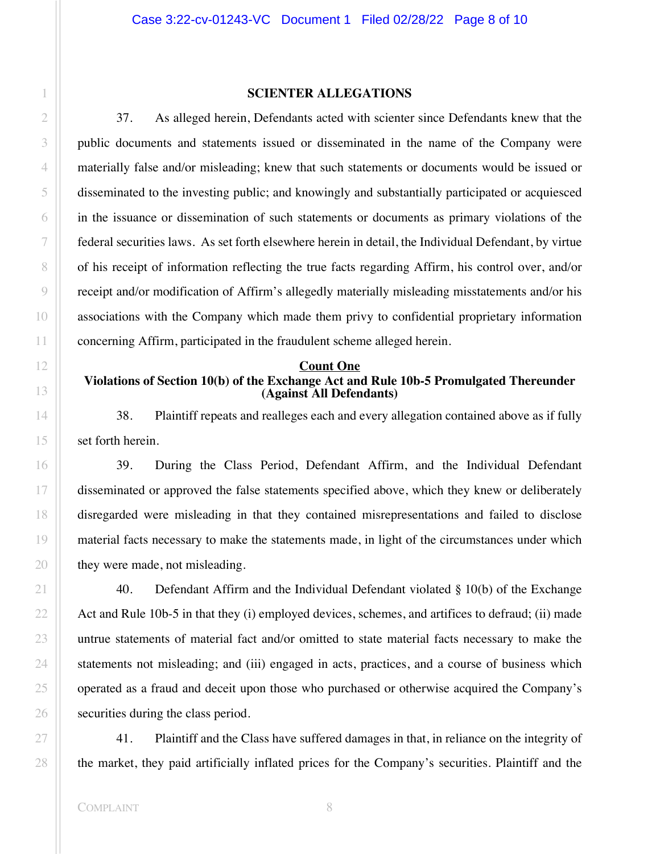#### **SCIENTER ALLEGATIONS**

37. As alleged herein, Defendants acted with scienter since Defendants knew that the public documents and statements issued or disseminated in the name of the Company were materially false and/or misleading; knew that such statements or documents would be issued or disseminated to the investing public; and knowingly and substantially participated or acquiesced in the issuance or dissemination of such statements or documents as primary violations of the federal securities laws. As set forth elsewhere herein in detail, the Individual Defendant, by virtue of his receipt of information reflecting the true facts regarding Affirm, his control over, and/or receipt and/or modification of Affirm's allegedly materially misleading misstatements and/or his associations with the Company which made them privy to confidential proprietary information concerning Affirm, participated in the fraudulent scheme alleged herein.

#### **Count One**

## **Violations of Section 10(b) of the Exchange Act and Rule 10b-5 Promulgated Thereunder (Against All Defendants)**

38. Plaintiff repeats and realleges each and every allegation contained above as if fully set forth herein.

39. During the Class Period, Defendant Affirm, and the Individual Defendant disseminated or approved the false statements specified above, which they knew or deliberately disregarded were misleading in that they contained misrepresentations and failed to disclose material facts necessary to make the statements made, in light of the circumstances under which they were made, not misleading.

40. Defendant Affirm and the Individual Defendant violated  $\S$  10(b) of the Exchange Act and Rule 10b-5 in that they (i) employed devices, schemes, and artifices to defraud; (ii) made untrue statements of material fact and/or omitted to state material facts necessary to make the statements not misleading; and (iii) engaged in acts, practices, and a course of business which operated as a fraud and deceit upon those who purchased or otherwise acquired the Company's securities during the class period.

41. Plaintiff and the Class have suffered damages in that, in reliance on the integrity of the market, they paid artificially inflated prices for the Company's securities. Plaintiff and the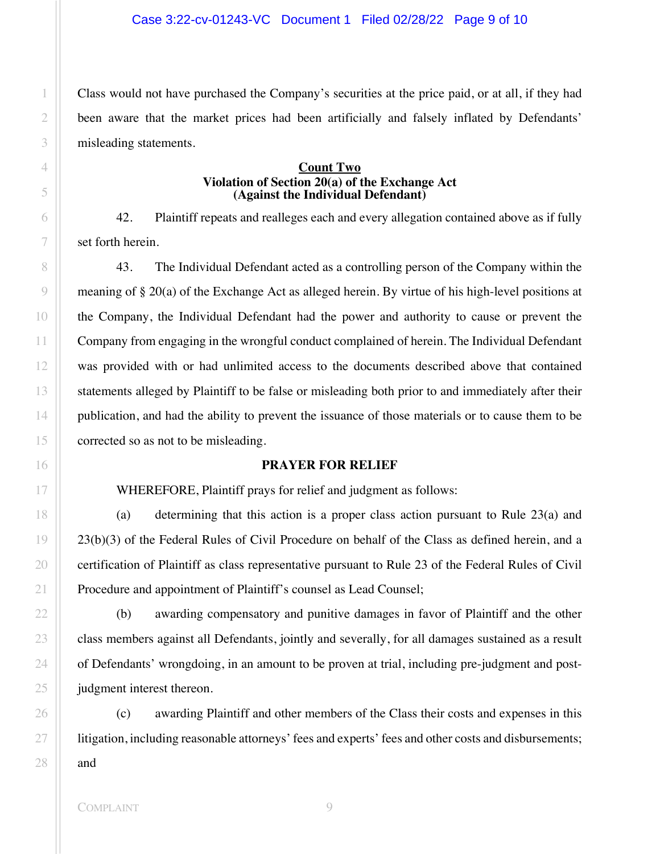Class would not have purchased the Company's securities at the price paid, or at all, if they had been aware that the market prices had been artificially and falsely inflated by Defendants' misleading statements.

## **Count Two Violation of Section 20(a) of the Exchange Act (Against the Individual Defendant)**

42. Plaintiff repeats and realleges each and every allegation contained above as if fully set forth herein.

43. The Individual Defendant acted as a controlling person of the Company within the meaning of § 20(a) of the Exchange Act as alleged herein. By virtue of his high-level positions at the Company, the Individual Defendant had the power and authority to cause or prevent the Company from engaging in the wrongful conduct complained of herein. The Individual Defendant was provided with or had unlimited access to the documents described above that contained statements alleged by Plaintiff to be false or misleading both prior to and immediately after their publication, and had the ability to prevent the issuance of those materials or to cause them to be corrected so as not to be misleading.

## **PRAYER FOR RELIEF**

WHEREFORE, Plaintiff prays for relief and judgment as follows:

(a) determining that this action is a proper class action pursuant to Rule 23(a) and 23(b)(3) of the Federal Rules of Civil Procedure on behalf of the Class as defined herein, and a certification of Plaintiff as class representative pursuant to Rule 23 of the Federal Rules of Civil Procedure and appointment of Plaintiff's counsel as Lead Counsel;

(b) awarding compensatory and punitive damages in favor of Plaintiff and the other class members against all Defendants, jointly and severally, for all damages sustained as a result of Defendants' wrongdoing, in an amount to be proven at trial, including pre-judgment and postjudgment interest thereon.

(c) awarding Plaintiff and other members of the Class their costs and expenses in this litigation, including reasonable attorneys' fees and experts' fees and other costs and disbursements; and

1

2

3

4

5

6

7

8

 $\circ$ 

10

11

12

13

14

15

16

17

18

19

20

21

22

23

24

25

26

27

28